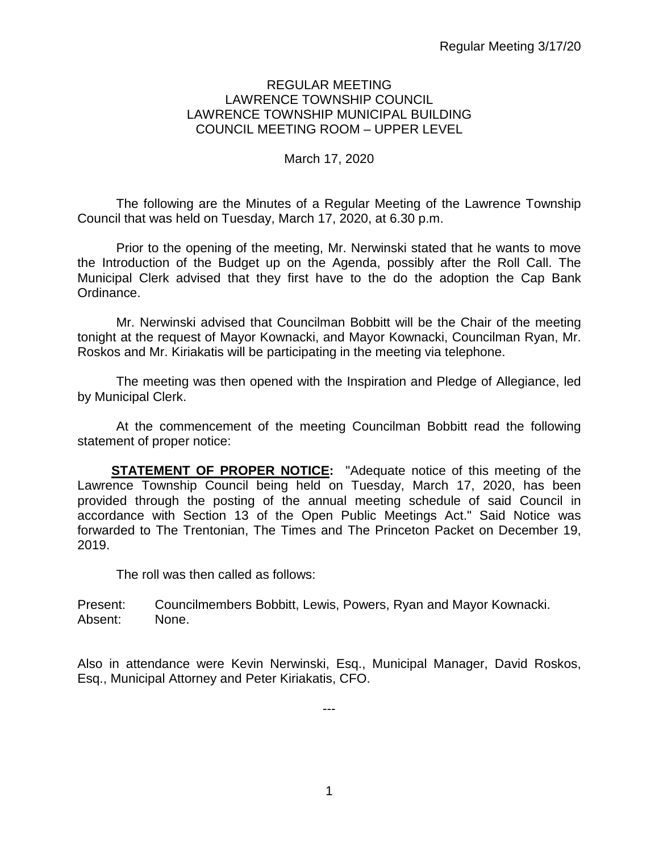#### REGULAR MEETING LAWRENCE TOWNSHIP COUNCIL LAWRENCE TOWNSHIP MUNICIPAL BUILDING COUNCIL MEETING ROOM – UPPER LEVEL

#### March 17, 2020

The following are the Minutes of a Regular Meeting of the Lawrence Township Council that was held on Tuesday, March 17, 2020, at 6.30 p.m.

Prior to the opening of the meeting, Mr. Nerwinski stated that he wants to move the Introduction of the Budget up on the Agenda, possibly after the Roll Call. The Municipal Clerk advised that they first have to the do the adoption the Cap Bank Ordinance.

Mr. Nerwinski advised that Councilman Bobbitt will be the Chair of the meeting tonight at the request of Mayor Kownacki, and Mayor Kownacki, Councilman Ryan, Mr. Roskos and Mr. Kiriakatis will be participating in the meeting via telephone.

The meeting was then opened with the Inspiration and Pledge of Allegiance, led by Municipal Clerk.

At the commencement of the meeting Councilman Bobbitt read the following statement of proper notice:

**STATEMENT OF PROPER NOTICE:** "Adequate notice of this meeting of the Lawrence Township Council being held on Tuesday, March 17, 2020, has been provided through the posting of the annual meeting schedule of said Council in accordance with Section 13 of the Open Public Meetings Act." Said Notice was forwarded to The Trentonian, The Times and The Princeton Packet on December 19, 2019.

The roll was then called as follows:

Present: Councilmembers Bobbitt, Lewis, Powers, Ryan and Mayor Kownacki. Absent: None.

Also in attendance were Kevin Nerwinski, Esq., Municipal Manager, David Roskos, Esq., Municipal Attorney and Peter Kiriakatis, CFO.

---

1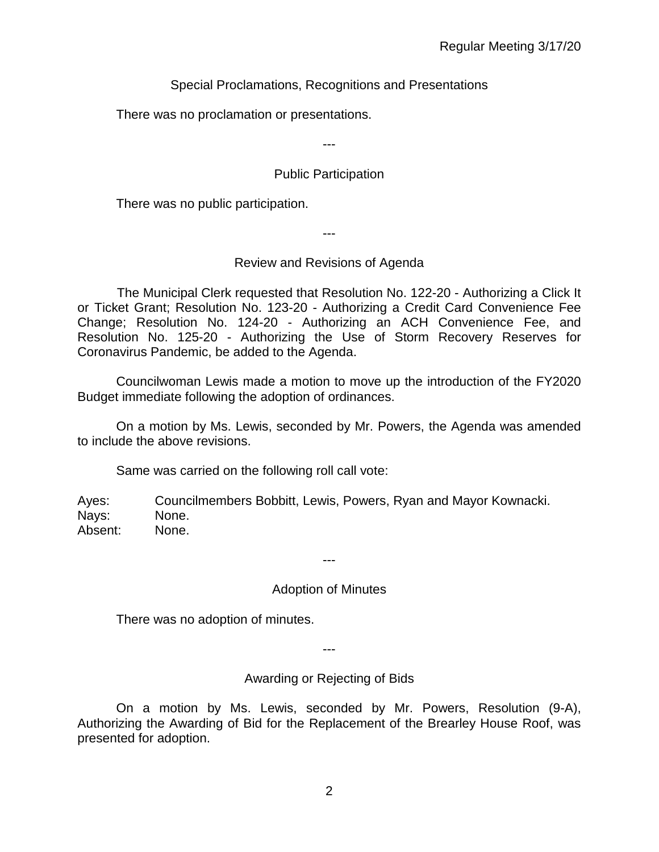Special Proclamations, Recognitions and Presentations

There was no proclamation or presentations.

---

# Public Participation

There was no public participation.

---

# Review and Revisions of Agenda

 The Municipal Clerk requested that Resolution No. 122-20 - Authorizing a Click It or Ticket Grant; Resolution No. 123-20 - Authorizing a Credit Card Convenience Fee Change; Resolution No. 124-20 - Authorizing an ACH Convenience Fee, and Resolution No. 125-20 - Authorizing the Use of Storm Recovery Reserves for Coronavirus Pandemic, be added to the Agenda.

Councilwoman Lewis made a motion to move up the introduction of the FY2020 Budget immediate following the adoption of ordinances.

On a motion by Ms. Lewis, seconded by Mr. Powers, the Agenda was amended to include the above revisions.

Same was carried on the following roll call vote:

Ayes: Councilmembers Bobbitt, Lewis, Powers, Ryan and Mayor Kownacki. Nays: None. Absent: None.

# Adoption of Minutes

---

There was no adoption of minutes.

---

Awarding or Rejecting of Bids

On a motion by Ms. Lewis, seconded by Mr. Powers, Resolution (9-A), Authorizing the Awarding of Bid for the Replacement of the Brearley House Roof, was presented for adoption.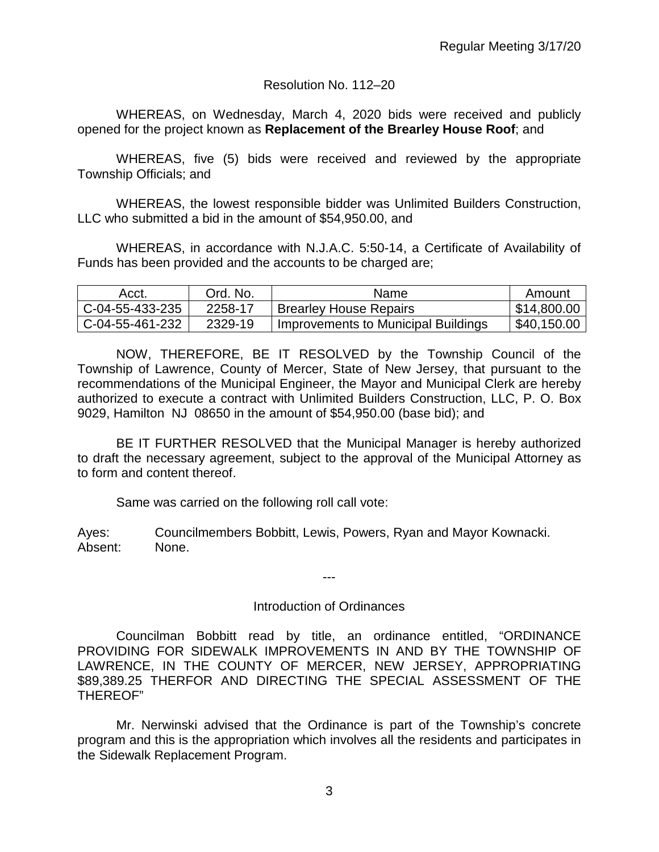#### Resolution No. 112–20

WHEREAS, on Wednesday, March 4, 2020 bids were received and publicly opened for the project known as **Replacement of the Brearley House Roof**; and

WHEREAS, five (5) bids were received and reviewed by the appropriate Township Officials; and

WHEREAS, the lowest responsible bidder was Unlimited Builders Construction, LLC who submitted a bid in the amount of \$54,950.00, and

WHEREAS, in accordance with N.J.A.C. 5:50-14, a Certificate of Availability of Funds has been provided and the accounts to be charged are;

| Acct.             | Ord. No. | Name                                | Amount      |
|-------------------|----------|-------------------------------------|-------------|
| $C-04-55-433-235$ | 2258-17  | <b>Brearley House Repairs</b>       | \$14,800.00 |
| C-04-55-461-232   | 2329-19  | Improvements to Municipal Buildings | \$40,150.00 |

NOW, THEREFORE, BE IT RESOLVED by the Township Council of the Township of Lawrence, County of Mercer, State of New Jersey, that pursuant to the recommendations of the Municipal Engineer, the Mayor and Municipal Clerk are hereby authorized to execute a contract with Unlimited Builders Construction, LLC, P. O. Box 9029, Hamilton NJ 08650 in the amount of \$54,950.00 (base bid); and

BE IT FURTHER RESOLVED that the Municipal Manager is hereby authorized to draft the necessary agreement, subject to the approval of the Municipal Attorney as to form and content thereof.

Same was carried on the following roll call vote:

Ayes: Councilmembers Bobbitt, Lewis, Powers, Ryan and Mayor Kownacki. Absent: None.

#### Introduction of Ordinances

---

Councilman Bobbitt read by title, an ordinance entitled, "ORDINANCE PROVIDING FOR SIDEWALK IMPROVEMENTS IN AND BY THE TOWNSHIP OF LAWRENCE, IN THE COUNTY OF MERCER, NEW JERSEY, APPROPRIATING \$89,389.25 THERFOR AND DIRECTING THE SPECIAL ASSESSMENT OF THE THEREOF"

Mr. Nerwinski advised that the Ordinance is part of the Township's concrete program and this is the appropriation which involves all the residents and participates in the Sidewalk Replacement Program.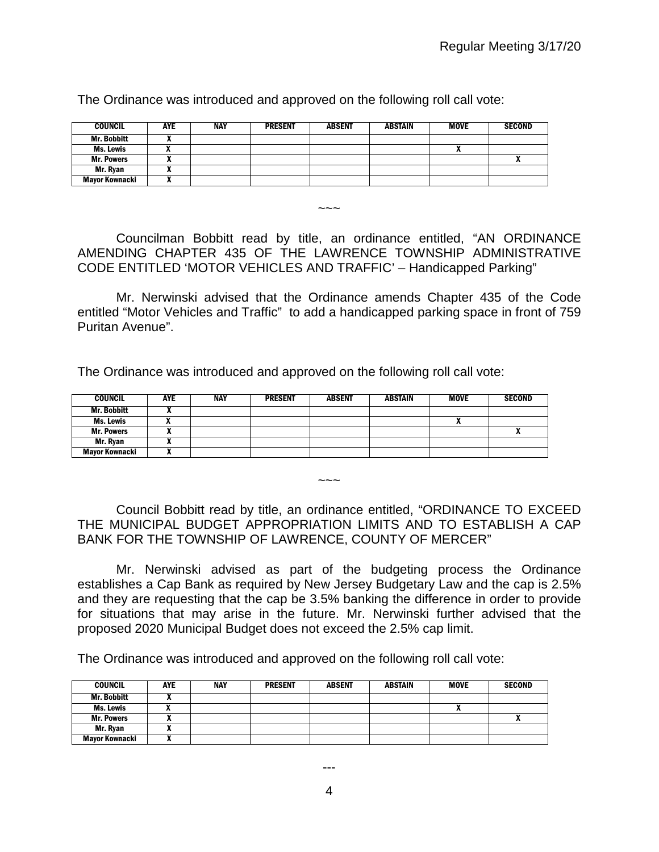| <b>COUNCIL</b>        | <b>AYE</b> | NAY | <b>PRESENT</b> | <b>ABSENT</b> | <b>ABSTAIN</b> | <b>MOVE</b> | <b>SECOND</b> |
|-----------------------|------------|-----|----------------|---------------|----------------|-------------|---------------|
| <b>Mr. Bobbitt</b>    |            |     |                |               |                |             |               |
| Ms. Lewis             | ,,         |     |                |               |                | n           |               |
| <b>Mr. Powers</b>     |            |     |                |               |                |             |               |
| Mr. Ryan              |            |     |                |               |                |             |               |
| <b>Mayor Kownacki</b> |            |     |                |               |                |             |               |

The Ordinance was introduced and approved on the following roll call vote:

Councilman Bobbitt read by title, an ordinance entitled, "AN ORDINANCE AMENDING CHAPTER 435 OF THE LAWRENCE TOWNSHIP ADMINISTRATIVE CODE ENTITLED 'MOTOR VEHICLES AND TRAFFIC' – Handicapped Parking"

 $\sim\sim\sim$ 

Mr. Nerwinski advised that the Ordinance amends Chapter 435 of the Code entitled "Motor Vehicles and Traffic" to add a handicapped parking space in front of 759 Puritan Avenue".

The Ordinance was introduced and approved on the following roll call vote:

| <b>COUNCIL</b>     | <b>AYE</b> | <b>NAY</b> | <b>PRESENT</b> | <b>ABSENT</b> | <b>ABSTAIN</b> | <b>MOVE</b> | <b>SECOND</b> |
|--------------------|------------|------------|----------------|---------------|----------------|-------------|---------------|
| <b>Mr. Bobbitt</b> |            |            |                |               |                |             |               |
| Ms. Lewis          |            |            |                |               |                | n           |               |
| <b>Mr. Powers</b>  |            |            |                |               |                |             |               |
| Mr. Ryan           |            |            |                |               |                |             |               |
| Mayor Kownacki     | ,,         |            |                |               |                |             |               |

Council Bobbitt read by title, an ordinance entitled, "ORDINANCE TO EXCEED THE MUNICIPAL BUDGET APPROPRIATION LIMITS AND TO ESTABLISH A CAP BANK FOR THE TOWNSHIP OF LAWRENCE, COUNTY OF MERCER"

 $\sim\sim\sim$ 

Mr. Nerwinski advised as part of the budgeting process the Ordinance establishes a Cap Bank as required by New Jersey Budgetary Law and the cap is 2.5% and they are requesting that the cap be 3.5% banking the difference in order to provide for situations that may arise in the future. Mr. Nerwinski further advised that the proposed 2020 Municipal Budget does not exceed the 2.5% cap limit.

The Ordinance was introduced and approved on the following roll call vote:

| <b>COUNCIL</b>     | AYE | <b>NAY</b> | <b>PRESENT</b> | <b>ABSENT</b> | <b>ABSTAIN</b> | <b>MOVE</b> | <b>SECOND</b> |
|--------------------|-----|------------|----------------|---------------|----------------|-------------|---------------|
| <b>Mr. Bobbitt</b> |     |            |                |               |                |             |               |
| Ms. Lewis          |     |            |                |               |                | n           |               |
| <b>Mr. Powers</b>  | "   |            |                |               |                |             | $\mathbf{r}$  |
| Mr. Ryan           |     |            |                |               |                |             |               |
| Mayor Kownacki     |     |            |                |               |                |             |               |

---

4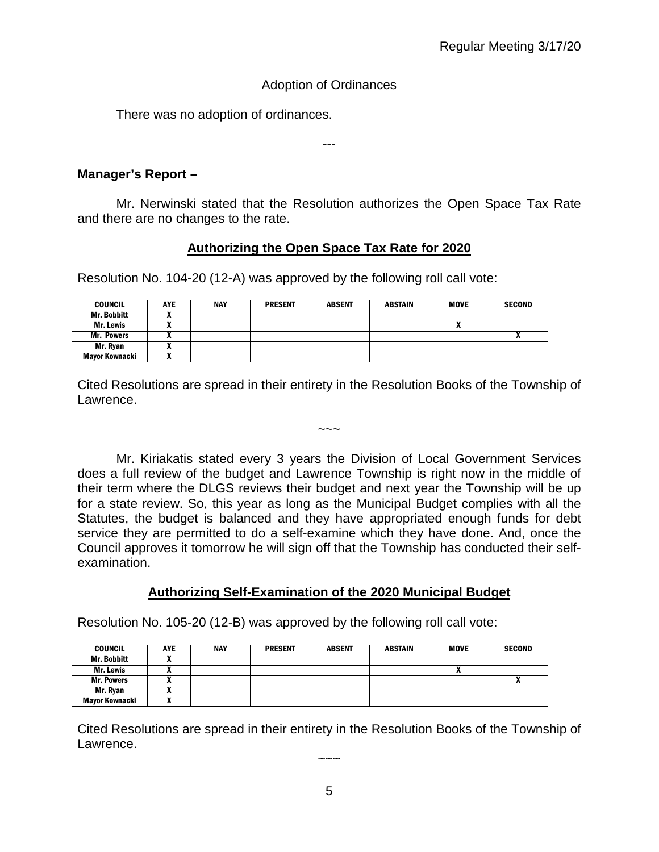# Adoption of Ordinances

There was no adoption of ordinances.

---

# **Manager's Report –**

Mr. Nerwinski stated that the Resolution authorizes the Open Space Tax Rate and there are no changes to the rate.

# **Authorizing the Open Space Tax Rate for 2020**

Resolution No. 104-20 (12-A) was approved by the following roll call vote:

| <b>COUNCIL</b>        | <b>AYE</b> | <b>NAY</b> | <b>PRESENT</b> | <b>ABSENT</b> | ABSTAIN | <b>MOVE</b> | <b>SECOND</b> |
|-----------------------|------------|------------|----------------|---------------|---------|-------------|---------------|
| <b>Mr. Bobbitt</b>    |            |            |                |               |         |             |               |
| Mr. Lewis             |            |            |                |               |         |             |               |
| <b>Mr. Powers</b>     |            |            |                |               |         |             | ^             |
| Mr. Ryan              |            |            |                |               |         |             |               |
| <b>Mayor Kownacki</b> |            |            |                |               |         |             |               |

Cited Resolutions are spread in their entirety in the Resolution Books of the Township of Lawrence.

 $\sim\sim\sim$ 

Mr. Kiriakatis stated every 3 years the Division of Local Government Services does a full review of the budget and Lawrence Township is right now in the middle of their term where the DLGS reviews their budget and next year the Township will be up for a state review. So, this year as long as the Municipal Budget complies with all the Statutes, the budget is balanced and they have appropriated enough funds for debt service they are permitted to do a self-examine which they have done. And, once the Council approves it tomorrow he will sign off that the Township has conducted their selfexamination.

# **Authorizing Self-Examination of the 2020 Municipal Budget**

Resolution No. 105-20 (12-B) was approved by the following roll call vote:

| <b>COUNCIL</b>     | AYE | <b>NAY</b> | <b>PRESENT</b> | <b>ABSENT</b> | ABSTAIN | <b>MOVE</b> | <b>SECOND</b> |
|--------------------|-----|------------|----------------|---------------|---------|-------------|---------------|
| <b>Mr. Bobbitt</b> |     |            |                |               |         |             |               |
| Mr. Lewis          |     |            |                |               |         |             |               |
| <b>Mr. Powers</b>  | ,,  |            |                |               |         |             |               |
| Mr. Ryan           | л   |            |                |               |         |             |               |
| Mayor Kownacki     | ^   |            |                |               |         |             |               |

Cited Resolutions are spread in their entirety in the Resolution Books of the Township of Lawrence.

 $\sim\sim\sim$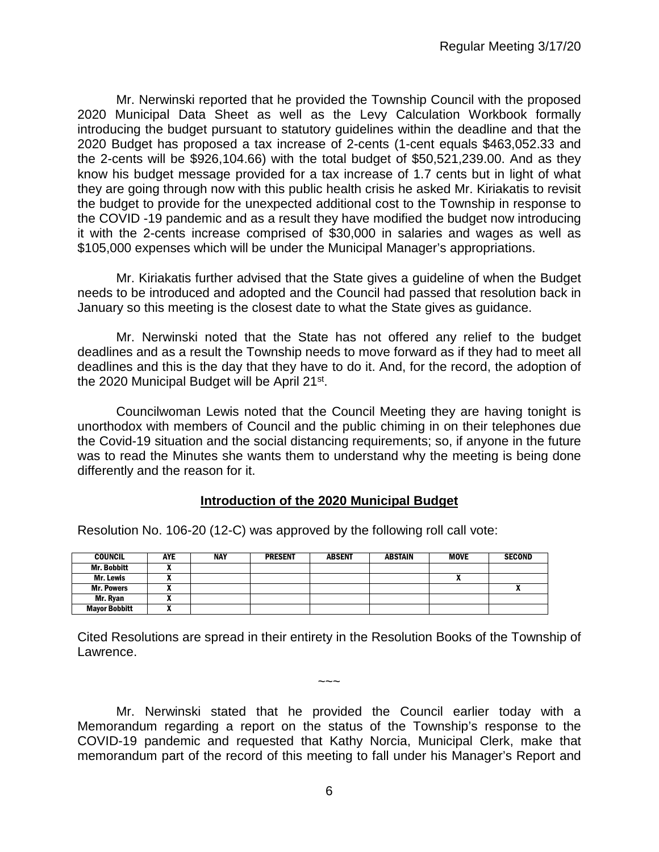Mr. Nerwinski reported that he provided the Township Council with the proposed 2020 Municipal Data Sheet as well as the Levy Calculation Workbook formally introducing the budget pursuant to statutory guidelines within the deadline and that the 2020 Budget has proposed a tax increase of 2-cents (1-cent equals \$463,052.33 and the 2-cents will be \$926,104.66) with the total budget of \$50,521,239.00. And as they know his budget message provided for a tax increase of 1.7 cents but in light of what they are going through now with this public health crisis he asked Mr. Kiriakatis to revisit the budget to provide for the unexpected additional cost to the Township in response to the COVID -19 pandemic and as a result they have modified the budget now introducing it with the 2-cents increase comprised of \$30,000 in salaries and wages as well as \$105,000 expenses which will be under the Municipal Manager's appropriations.

Mr. Kiriakatis further advised that the State gives a guideline of when the Budget needs to be introduced and adopted and the Council had passed that resolution back in January so this meeting is the closest date to what the State gives as guidance.

Mr. Nerwinski noted that the State has not offered any relief to the budget deadlines and as a result the Township needs to move forward as if they had to meet all deadlines and this is the day that they have to do it. And, for the record, the adoption of the 2020 Municipal Budget will be April 21st.

Councilwoman Lewis noted that the Council Meeting they are having tonight is unorthodox with members of Council and the public chiming in on their telephones due the Covid-19 situation and the social distancing requirements; so, if anyone in the future was to read the Minutes she wants them to understand why the meeting is being done differently and the reason for it.

#### **Introduction of the 2020 Municipal Budget**

Resolution No. 106-20 (12-C) was approved by the following roll call vote:

| <b>COUNCIL</b>       | <b>AYE</b> | <b>NAY</b> | <b>PRESENT</b> | <b>ABSENT</b> | <b>ABSTAIN</b> | MOVE | <b>SECOND</b> |
|----------------------|------------|------------|----------------|---------------|----------------|------|---------------|
| <b>Mr. Bobbitt</b>   | "          |            |                |               |                |      |               |
| Mr. Lewis            | "          |            |                |               |                | n    |               |
| <b>Mr. Powers</b>    |            |            |                |               |                |      |               |
| Mr. Ryan             |            |            |                |               |                |      |               |
| <b>Mayor Bobbitt</b> |            |            |                |               |                |      |               |

Cited Resolutions are spread in their entirety in the Resolution Books of the Township of Lawrence.

 $\sim\sim\sim$ 

Mr. Nerwinski stated that he provided the Council earlier today with a Memorandum regarding a report on the status of the Township's response to the COVID-19 pandemic and requested that Kathy Norcia, Municipal Clerk, make that memorandum part of the record of this meeting to fall under his Manager's Report and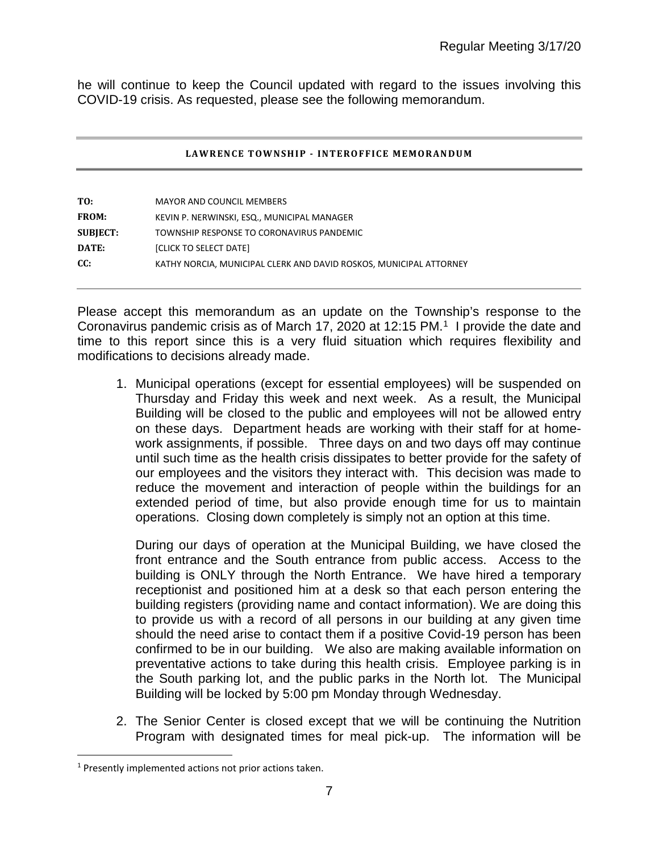he will continue to keep the Council updated with regard to the issues involving this COVID-19 crisis. As requested, please see the following memorandum.

#### **LAWRENCE TOWNSHIP - INTEROFFICE MEMORANDUM**

| TO:             | <b>MAYOR AND COUNCIL MEMBERS</b>                                   |
|-----------------|--------------------------------------------------------------------|
| <b>FROM:</b>    | KEVIN P. NERWINSKI, ESQ., MUNICIPAL MANAGER                        |
| <b>SUBJECT:</b> | TOWNSHIP RESPONSE TO CORONAVIRUS PANDEMIC                          |
| DATE:           | [CLICK TO SELECT DATE]                                             |
| CC:             | KATHY NORCIA, MUNICIPAL CLERK AND DAVID ROSKOS, MUNICIPAL ATTORNEY |

Please accept this memorandum as an update on the Township's response to the Coronavirus pandemic crisis as of March 17, 2020 at 12:15 PM.<sup>1</sup> I provide the date and time to this report since this is a very fluid situation which requires flexibility and modifications to decisions already made.

1. Municipal operations (except for essential employees) will be suspended on Thursday and Friday this week and next week. As a result, the Municipal Building will be closed to the public and employees will not be allowed entry on these days. Department heads are working with their staff for at homework assignments, if possible. Three days on and two days off may continue until such time as the health crisis dissipates to better provide for the safety of our employees and the visitors they interact with. This decision was made to reduce the movement and interaction of people within the buildings for an extended period of time, but also provide enough time for us to maintain operations. Closing down completely is simply not an option at this time.

During our days of operation at the Municipal Building, we have closed the front entrance and the South entrance from public access. Access to the building is ONLY through the North Entrance. We have hired a temporary receptionist and positioned him at a desk so that each person entering the building registers (providing name and contact information). We are doing this to provide us with a record of all persons in our building at any given time should the need arise to contact them if a positive Covid-19 person has been confirmed to be in our building. We also are making available information on preventative actions to take during this health crisis. Employee parking is in the South parking lot, and the public parks in the North lot. The Municipal Building will be locked by 5:00 pm Monday through Wednesday.

2. The Senior Center is closed except that we will be continuing the Nutrition Program with designated times for meal pick-up. The information will be

<span id="page-6-0"></span> $\overline{a}$ <sup>1</sup> Presently implemented actions not prior actions taken.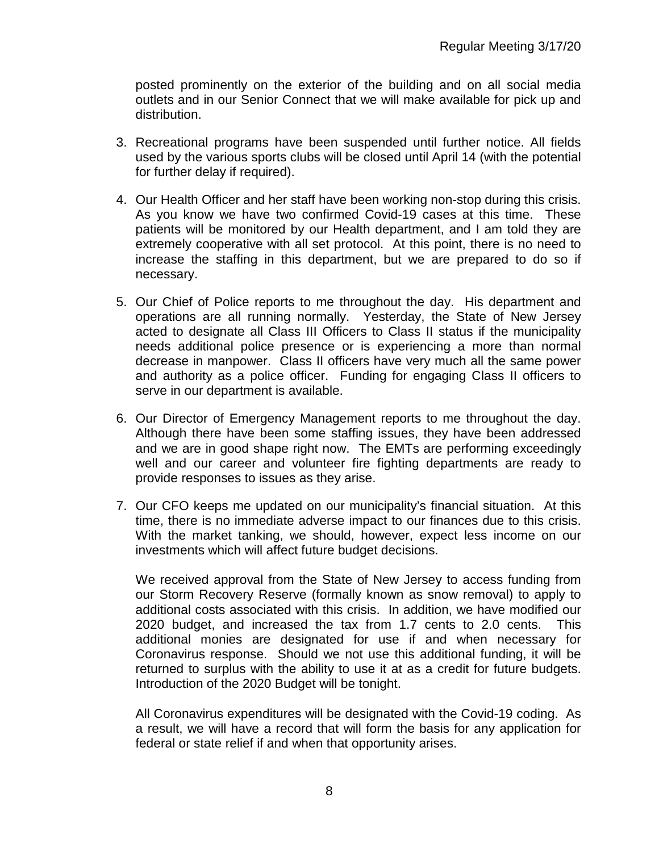posted prominently on the exterior of the building and on all social media outlets and in our Senior Connect that we will make available for pick up and distribution.

- 3. Recreational programs have been suspended until further notice. All fields used by the various sports clubs will be closed until April 14 (with the potential for further delay if required).
- 4. Our Health Officer and her staff have been working non-stop during this crisis. As you know we have two confirmed Covid-19 cases at this time. These patients will be monitored by our Health department, and I am told they are extremely cooperative with all set protocol. At this point, there is no need to increase the staffing in this department, but we are prepared to do so if necessary.
- 5. Our Chief of Police reports to me throughout the day. His department and operations are all running normally. Yesterday, the State of New Jersey acted to designate all Class III Officers to Class II status if the municipality needs additional police presence or is experiencing a more than normal decrease in manpower. Class II officers have very much all the same power and authority as a police officer. Funding for engaging Class II officers to serve in our department is available.
- 6. Our Director of Emergency Management reports to me throughout the day. Although there have been some staffing issues, they have been addressed and we are in good shape right now. The EMTs are performing exceedingly well and our career and volunteer fire fighting departments are ready to provide responses to issues as they arise.
- 7. Our CFO keeps me updated on our municipality's financial situation. At this time, there is no immediate adverse impact to our finances due to this crisis. With the market tanking, we should, however, expect less income on our investments which will affect future budget decisions.

We received approval from the State of New Jersey to access funding from our Storm Recovery Reserve (formally known as snow removal) to apply to additional costs associated with this crisis. In addition, we have modified our 2020 budget, and increased the tax from 1.7 cents to 2.0 cents. This additional monies are designated for use if and when necessary for Coronavirus response. Should we not use this additional funding, it will be returned to surplus with the ability to use it at as a credit for future budgets. Introduction of the 2020 Budget will be tonight.

All Coronavirus expenditures will be designated with the Covid-19 coding. As a result, we will have a record that will form the basis for any application for federal or state relief if and when that opportunity arises.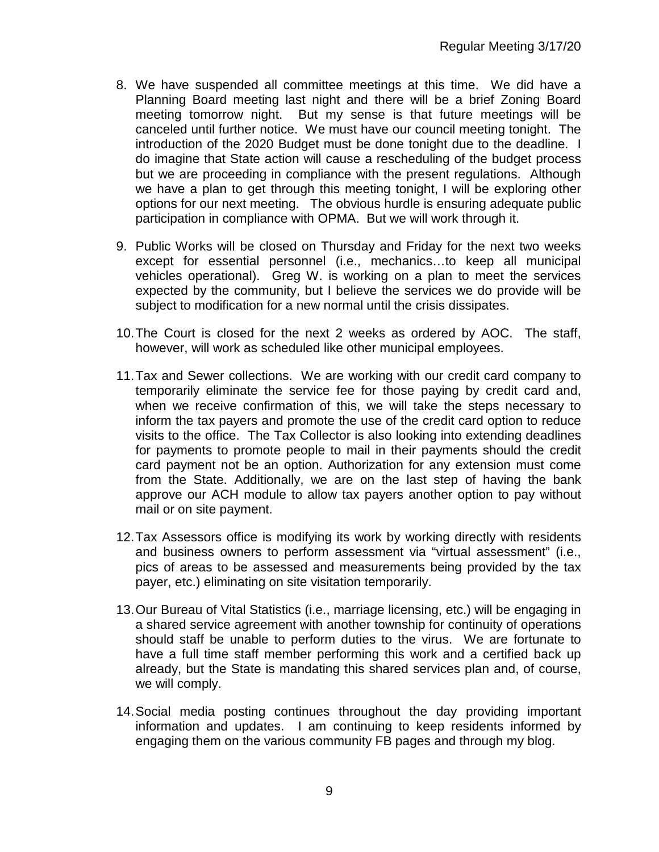- 8. We have suspended all committee meetings at this time. We did have a Planning Board meeting last night and there will be a brief Zoning Board meeting tomorrow night. But my sense is that future meetings will be canceled until further notice. We must have our council meeting tonight. The introduction of the 2020 Budget must be done tonight due to the deadline. I do imagine that State action will cause a rescheduling of the budget process but we are proceeding in compliance with the present regulations. Although we have a plan to get through this meeting tonight, I will be exploring other options for our next meeting. The obvious hurdle is ensuring adequate public participation in compliance with OPMA. But we will work through it.
- 9. Public Works will be closed on Thursday and Friday for the next two weeks except for essential personnel (i.e., mechanics…to keep all municipal vehicles operational). Greg W. is working on a plan to meet the services expected by the community, but I believe the services we do provide will be subject to modification for a new normal until the crisis dissipates.
- 10.The Court is closed for the next 2 weeks as ordered by AOC. The staff, however, will work as scheduled like other municipal employees.
- 11.Tax and Sewer collections. We are working with our credit card company to temporarily eliminate the service fee for those paying by credit card and, when we receive confirmation of this, we will take the steps necessary to inform the tax payers and promote the use of the credit card option to reduce visits to the office. The Tax Collector is also looking into extending deadlines for payments to promote people to mail in their payments should the credit card payment not be an option. Authorization for any extension must come from the State. Additionally, we are on the last step of having the bank approve our ACH module to allow tax payers another option to pay without mail or on site payment.
- 12.Tax Assessors office is modifying its work by working directly with residents and business owners to perform assessment via "virtual assessment" (i.e., pics of areas to be assessed and measurements being provided by the tax payer, etc.) eliminating on site visitation temporarily.
- 13.Our Bureau of Vital Statistics (i.e., marriage licensing, etc.) will be engaging in a shared service agreement with another township for continuity of operations should staff be unable to perform duties to the virus. We are fortunate to have a full time staff member performing this work and a certified back up already, but the State is mandating this shared services plan and, of course, we will comply.
- 14.Social media posting continues throughout the day providing important information and updates. I am continuing to keep residents informed by engaging them on the various community FB pages and through my blog.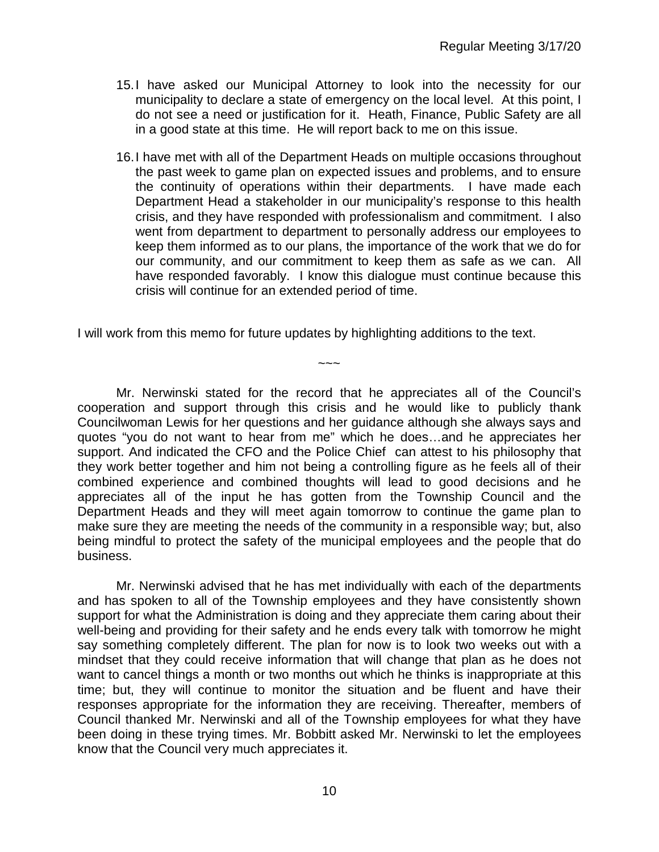- 15.I have asked our Municipal Attorney to look into the necessity for our municipality to declare a state of emergency on the local level. At this point, I do not see a need or justification for it. Heath, Finance, Public Safety are all in a good state at this time. He will report back to me on this issue.
- 16.I have met with all of the Department Heads on multiple occasions throughout the past week to game plan on expected issues and problems, and to ensure the continuity of operations within their departments. I have made each Department Head a stakeholder in our municipality's response to this health crisis, and they have responded with professionalism and commitment. I also went from department to department to personally address our employees to keep them informed as to our plans, the importance of the work that we do for our community, and our commitment to keep them as safe as we can. All have responded favorably. I know this dialogue must continue because this crisis will continue for an extended period of time.

I will work from this memo for future updates by highlighting additions to the text.

Mr. Nerwinski stated for the record that he appreciates all of the Council's cooperation and support through this crisis and he would like to publicly thank Councilwoman Lewis for her questions and her guidance although she always says and quotes "you do not want to hear from me" which he does…and he appreciates her support. And indicated the CFO and the Police Chief can attest to his philosophy that they work better together and him not being a controlling figure as he feels all of their combined experience and combined thoughts will lead to good decisions and he appreciates all of the input he has gotten from the Township Council and the Department Heads and they will meet again tomorrow to continue the game plan to make sure they are meeting the needs of the community in a responsible way; but, also being mindful to protect the safety of the municipal employees and the people that do business.

 $\sim\sim\sim$ 

Mr. Nerwinski advised that he has met individually with each of the departments and has spoken to all of the Township employees and they have consistently shown support for what the Administration is doing and they appreciate them caring about their well-being and providing for their safety and he ends every talk with tomorrow he might say something completely different. The plan for now is to look two weeks out with a mindset that they could receive information that will change that plan as he does not want to cancel things a month or two months out which he thinks is inappropriate at this time; but, they will continue to monitor the situation and be fluent and have their responses appropriate for the information they are receiving. Thereafter, members of Council thanked Mr. Nerwinski and all of the Township employees for what they have been doing in these trying times. Mr. Bobbitt asked Mr. Nerwinski to let the employees know that the Council very much appreciates it.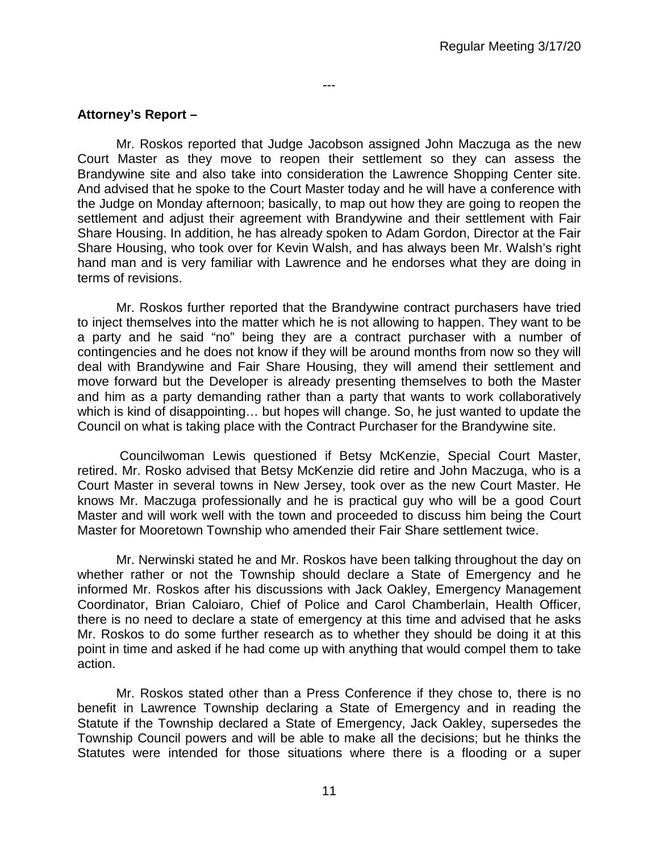#### **Attorney's Report –**

Mr. Roskos reported that Judge Jacobson assigned John Maczuga as the new Court Master as they move to reopen their settlement so they can assess the Brandywine site and also take into consideration the Lawrence Shopping Center site. And advised that he spoke to the Court Master today and he will have a conference with the Judge on Monday afternoon; basically, to map out how they are going to reopen the settlement and adjust their agreement with Brandywine and their settlement with Fair Share Housing. In addition, he has already spoken to Adam Gordon, Director at the Fair Share Housing, who took over for Kevin Walsh, and has always been Mr. Walsh's right hand man and is very familiar with Lawrence and he endorses what they are doing in terms of revisions.

---

Mr. Roskos further reported that the Brandywine contract purchasers have tried to inject themselves into the matter which he is not allowing to happen. They want to be a party and he said "no" being they are a contract purchaser with a number of contingencies and he does not know if they will be around months from now so they will deal with Brandywine and Fair Share Housing, they will amend their settlement and move forward but the Developer is already presenting themselves to both the Master and him as a party demanding rather than a party that wants to work collaboratively which is kind of disappointing… but hopes will change. So, he just wanted to update the Council on what is taking place with the Contract Purchaser for the Brandywine site.

Councilwoman Lewis questioned if Betsy McKenzie, Special Court Master, retired. Mr. Rosko advised that Betsy McKenzie did retire and John Maczuga, who is a Court Master in several towns in New Jersey, took over as the new Court Master. He knows Mr. Maczuga professionally and he is practical guy who will be a good Court Master and will work well with the town and proceeded to discuss him being the Court Master for Mooretown Township who amended their Fair Share settlement twice.

Mr. Nerwinski stated he and Mr. Roskos have been talking throughout the day on whether rather or not the Township should declare a State of Emergency and he informed Mr. Roskos after his discussions with Jack Oakley, Emergency Management Coordinator, Brian Caloiaro, Chief of Police and Carol Chamberlain, Health Officer, there is no need to declare a state of emergency at this time and advised that he asks Mr. Roskos to do some further research as to whether they should be doing it at this point in time and asked if he had come up with anything that would compel them to take action.

Mr. Roskos stated other than a Press Conference if they chose to, there is no benefit in Lawrence Township declaring a State of Emergency and in reading the Statute if the Township declared a State of Emergency, Jack Oakley, supersedes the Township Council powers and will be able to make all the decisions; but he thinks the Statutes were intended for those situations where there is a flooding or a super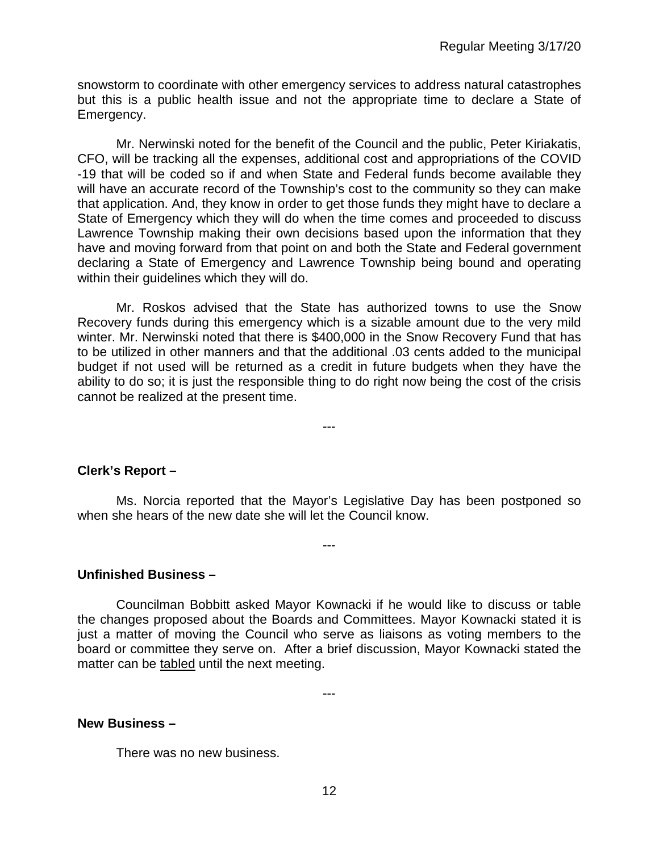snowstorm to coordinate with other emergency services to address natural catastrophes but this is a public health issue and not the appropriate time to declare a State of Emergency.

Mr. Nerwinski noted for the benefit of the Council and the public, Peter Kiriakatis, CFO, will be tracking all the expenses, additional cost and appropriations of the COVID -19 that will be coded so if and when State and Federal funds become available they will have an accurate record of the Township's cost to the community so they can make that application. And, they know in order to get those funds they might have to declare a State of Emergency which they will do when the time comes and proceeded to discuss Lawrence Township making their own decisions based upon the information that they have and moving forward from that point on and both the State and Federal government declaring a State of Emergency and Lawrence Township being bound and operating within their guidelines which they will do.

Mr. Roskos advised that the State has authorized towns to use the Snow Recovery funds during this emergency which is a sizable amount due to the very mild winter. Mr. Nerwinski noted that there is \$400,000 in the Snow Recovery Fund that has to be utilized in other manners and that the additional .03 cents added to the municipal budget if not used will be returned as a credit in future budgets when they have the ability to do so; it is just the responsible thing to do right now being the cost of the crisis cannot be realized at the present time.

---

**Clerk's Report –** 

Ms. Norcia reported that the Mayor's Legislative Day has been postponed so when she hears of the new date she will let the Council know.

---

**Unfinished Business –**

Councilman Bobbitt asked Mayor Kownacki if he would like to discuss or table the changes proposed about the Boards and Committees. Mayor Kownacki stated it is just a matter of moving the Council who serve as liaisons as voting members to the board or committee they serve on. After a brief discussion, Mayor Kownacki stated the matter can be tabled until the next meeting.

---

#### **New Business –**

There was no new business.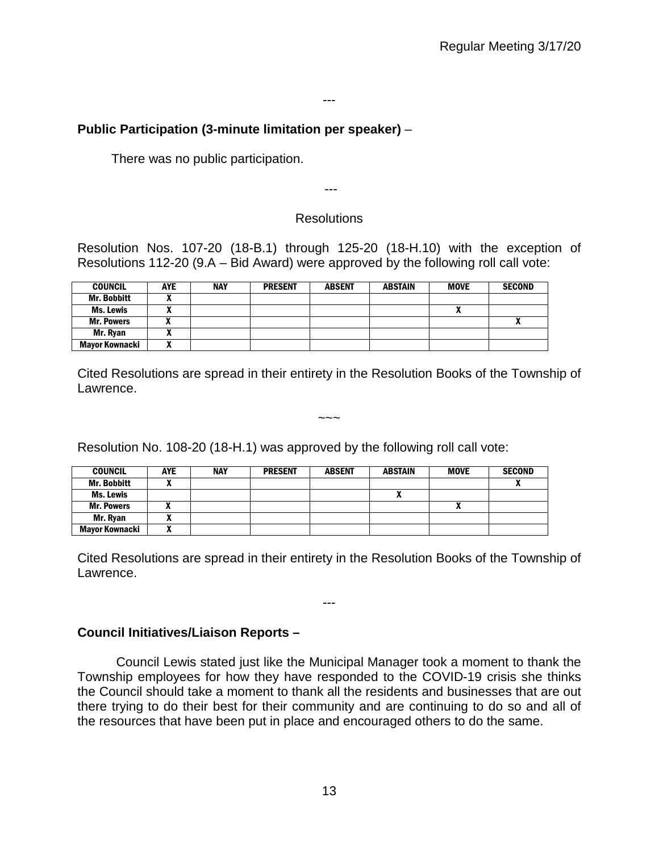#### ---

# **Public Participation (3-minute limitation per speaker)** –

There was no public participation.

# **Resolutions**

---

Resolution Nos. 107-20 (18-B.1) through 125-20 (18-H.10) with the exception of Resolutions 112-20 (9.A – Bid Award) were approved by the following roll call vote:

| <b>COUNCIL</b>     | <b>AYE</b> | <b>NAY</b> | <b>PRESENT</b> | <b>ABSENT</b> | <b>ABSTAIN</b> | <b>MOVE</b> | <b>SECOND</b> |
|--------------------|------------|------------|----------------|---------------|----------------|-------------|---------------|
| <b>Mr. Bobbitt</b> |            |            |                |               |                |             |               |
| <b>Ms. Lewis</b>   |            |            |                |               |                | "           |               |
| <b>Mr. Powers</b>  |            |            |                |               |                |             | A             |
| Mr. Ryan           |            |            |                |               |                |             |               |
| Mayor Kownacki     |            |            |                |               |                |             |               |

Cited Resolutions are spread in their entirety in the Resolution Books of the Township of Lawrence.

 $\sim\sim\sim$ 

Resolution No. 108-20 (18-H.1) was approved by the following roll call vote:

| <b>COUNCIL</b>        | <b>AYE</b> | <b>NAY</b> | <b>PRESENT</b> | <b>ABSENT</b> | <b>ABSTAIN</b> | <b>MOVE</b> | <b>SECOND</b> |
|-----------------------|------------|------------|----------------|---------------|----------------|-------------|---------------|
| <b>Mr. Bobbitt</b>    |            |            |                |               |                |             |               |
| Ms. Lewis             |            |            |                |               |                |             |               |
| <b>Mr. Powers</b>     |            |            |                |               |                | Λ           |               |
| Mr. Ryan              | л          |            |                |               |                |             |               |
| <b>Mayor Kownacki</b> | n          |            |                |               |                |             |               |

Cited Resolutions are spread in their entirety in the Resolution Books of the Township of Lawrence.

---

# **Council Initiatives/Liaison Reports –**

Council Lewis stated just like the Municipal Manager took a moment to thank the Township employees for how they have responded to the COVID-19 crisis she thinks the Council should take a moment to thank all the residents and businesses that are out there trying to do their best for their community and are continuing to do so and all of the resources that have been put in place and encouraged others to do the same.